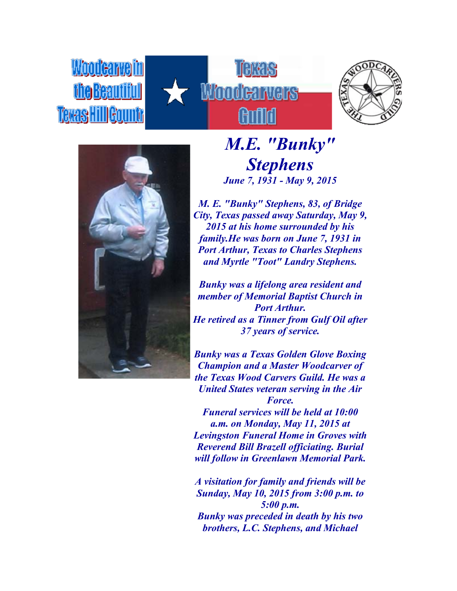Woodeawell Texas HillGou







*M.E. "Bunky" Stephens June 7, 1931 - May 9, 2015*

*M. E. "Bunky" Stephens, 83, of Bridge City, Texas passed away Saturday, May 9, 2015 at his home surrounded by his family.He was born on June 7, 1931 in Port Arthur, Texas to Charles Stephens and Myrtle "Toot" Landry Stephens.*

*Bunky was a lifelong area resident and member of Memorial Baptist Church in Port Arthur. He retired as a Tinner from Gulf Oil after 37 years of service.*

*Bunky was a Texas Golden Glove Boxing Champion and a Master Woodcarver of the Texas Wood Carvers Guild. He was a United States veteran serving in the Air Force.*

*Funeral services will be held at 10:00 a.m. on Monday, May 11, 2015 at Levingston Funeral Home in Groves with Reverend Bill Brazell officiating. Burial will follow in Greenlawn Memorial Park.*

*A visitation for family and friends will be Sunday, May 10, 2015 from 3:00 p.m. to 5:00 p.m. Bunky was preceded in death by his two brothers, L.C. Stephens, and Michael*